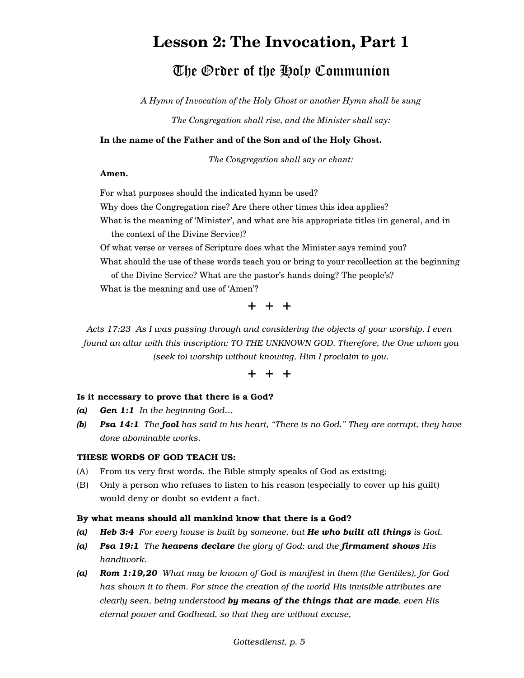## **Lesson 2: The Invocation, Part 1**

### The Order of the Holy Communion

*A Hymn of Invocation of the Holy Ghost or another Hymn shall be sung*

*The Congregation shall rise, and the Minister shall say:*

#### **In the name of the Father and of the Son and of the Holy Ghost.**

*The Congregation shall say or chant:*

#### **Amen.**

For what purposes should the indicated hymn be used?

Why does the Congregation rise? Are there other times this idea applies?

What is the meaning of 'Minister', and what are his appropriate titles (in general, and in the context of the Divine Service)?

Of what verse or verses of Scripture does what the Minister says remind you?

What should the use of these words teach you or bring to your recollection at the beginning

of the Divine Service? What are the pastor's hands doing? The people's?

What is the meaning and use of 'Amen'?

+ + +

*Acts 17:23 As I was passing through and considering the objects of your worship, I even found an altar with this inscription: TO THE UNKNOWN GOD. Therefore, the One whom you (seek to) worship without knowing, Him I proclaim to you.*

#### + + +

#### Is it necessary to prove that there is a God?

- *(a) Gen 1:1 In the beginning God…*
- *(b) Psa 14:1 The fool has said in his heart, "There is no God." They are corrupt, they have done abominable works.*

#### THESE WORDS OF GOD TEACH US:

- (A) From its very first words, the Bible simply speaks of God as existing;
- (B) Only a person who refuses to listen to his reason (especially to cover up his guilt) would deny or doubt so evident a fact.

#### By what means should all mankind know that there is a God?

- *(a) Heb 3:4 For every house is built by someone, but He who built all things is God.*
- *(a) Psa 19:1 The heavens declare the glory of God; and the firmament shows His handiwork.*
- *(a) Rom 1:19,20 What may be known of God is manifest in them (the Gentiles), for God has shown it to them. For since the creation of the world His invisible attributes are clearly seen, being understood by means of the things that are made, even His eternal power and Godhead, so that they are without excuse,*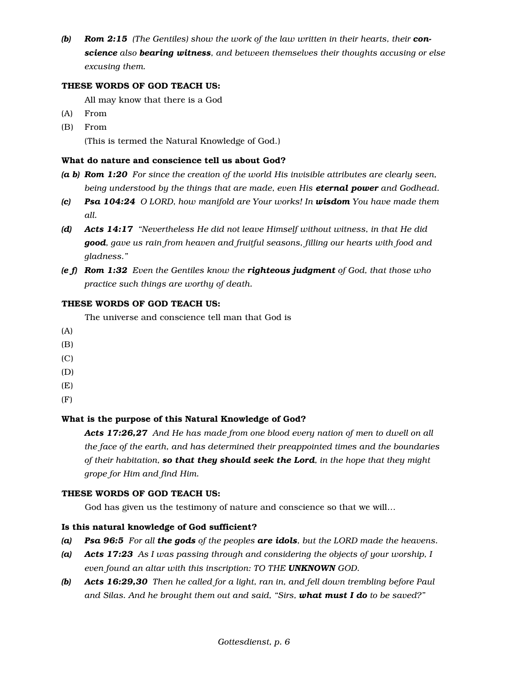*(b) Rom 2:15 (The Gentiles) show the work of the law written in their hearts, their conscience also bearing witness, and between themselves their thoughts accusing or else excusing them.*

#### THESE WORDS OF GOD TEACH US:

All may know that there is a God

- (A) From
- (B) From (This is termed the Natural Knowledge of God.)

#### What do nature and conscience tell us about God?

- *(a b) Rom 1:20 For since the creation of the world His invisible attributes are clearly seen, being understood by the things that are made, even His eternal power and Godhead.*
- *(c) Psa 104:24 O LORD, how manifold are Your works! In wisdom You have made them all.*
- *(d) Acts 14:17 "Nevertheless He did not leave Himself without witness, in that He did good, gave us rain from heaven and fruitful seasons, filling our hearts with food and gladness."*
- *(e f) Rom 1:32 Even the Gentiles know the righteous judgment of God, that those who practice such things are worthy of death.*

#### THESE WORDS OF GOD TEACH US:

The universe and conscience tell man that God is

- (A)
- (B)
- (C)
- (D)
- $(E)$
- $(F)$

#### What is the purpose of this Natural Knowledge of God?

*Acts 17:26,27 And He has made from one blood every nation of men to dwell on all the face of the earth, and has determined their preappointed times and the boundaries of their habitation, so that they should seek the Lord, in the hope that they might grope for Him and find Him.*

#### THESE WORDS OF GOD TEACH US:

God has given us the testimony of nature and conscience so that we will…

#### Is this natural knowledge of God sufficient?

- *(a) Psa 96:5 For all the gods of the peoples are idols, but the LORD made the heavens.*
- *(a) Acts 17:23 As I was passing through and considering the objects of your worship, I even found an altar with this inscription: TO THE UNKNOWN GOD.*
- *(b) Acts 16:29,30 Then he called for a light, ran in, and fell down trembling before Paul and Silas. And he brought them out and said, "Sirs, what must I do to be saved?"*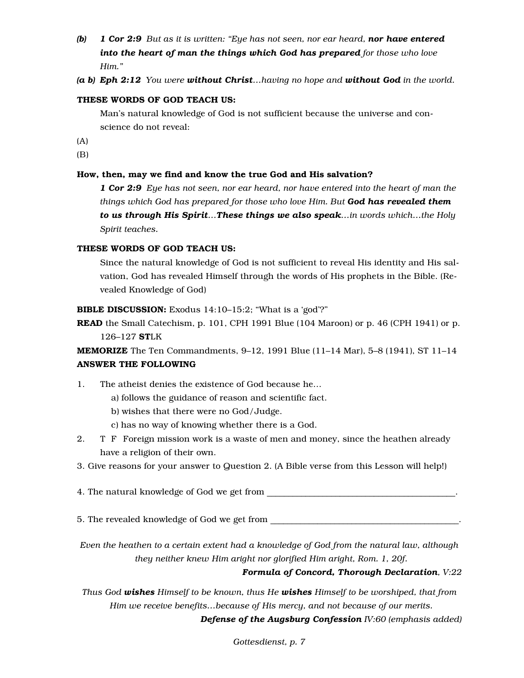- *(b) 1 Cor 2:9 But as it is written: "Eye has not seen, nor ear heard, nor have entered into the heart of man the things which God has prepared for those who love Him."*
- *(a b) Eph 2:12 You were without Christ…having no hope and without God in the world.*

#### THESE WORDS OF GOD TEACH US:

Man's natural knowledge of God is not sufficient because the universe and conscience do not reveal:

(A)

(B)

#### How, then, may we find and know the true God and His salvation?

*1 Cor 2:9 Eye has not seen, nor ear heard, nor have entered into the heart of man the things which God has prepared for those who love Him. But God has revealed them to us through His Spirit…These things we also speak…in words which…the Holy Spirit teaches.*

#### THESE WORDS OF GOD TEACH US:

Since the natural knowledge of God is not sufficient to reveal His identity and His salvation, God has revealed Himself through the words of His prophets in the Bible. (Revealed Knowledge of God)

BIBLE DISCUSSION: Exodus 14:10-15:2; "What is a 'god'?"

READ the Small Catechism, p. 101, CPH 1991 Blue (104 Maroon) or p. 46 (CPH 1941) or p. 126–127 STLK

MEMORIZE The Ten Commandments, 9–12, 1991 Blue (11–14 Mar), 5–8 (1941), ST 11–14 ANSWER THE FOLLOWING

1. The atheist denies the existence of God because he…

- a) follows the guidance of reason and scientific fact.
- b) wishes that there were no God/Judge.
- c) has no way of knowing whether there is a God.
- 2. T F Foreign mission work is a waste of men and money, since the heathen already have a religion of their own.
- 3. Give reasons for your answer to Question 2. (A Bible verse from this Lesson will help!)

4. The natural knowledge of God we get from \_\_\_\_\_\_\_\_\_\_\_\_\_\_\_\_\_\_\_\_\_\_\_\_\_\_\_\_\_\_\_\_\_\_\_\_\_\_\_\_\_\_\_\_.

5. The revealed knowledge of God we get from \_\_\_\_\_\_\_\_\_\_\_\_\_\_\_\_\_\_\_\_\_\_\_\_\_\_\_\_\_\_\_\_\_\_\_

*Even the heathen to a certain extent had a knowledge of God from the natural law, although they neither knew Him aright nor glorified Him aright, Rom. 1, 20f.*

#### *Formula of Concord, Thorough Declaration, V:22*

*Thus God wishes Himself to be known, thus He wishes Himself to be worshiped, that from Him we receive benefits…because of His mercy, and not because of our merits. Defense of the Augsburg Confession IV:60 (emphasis added)*